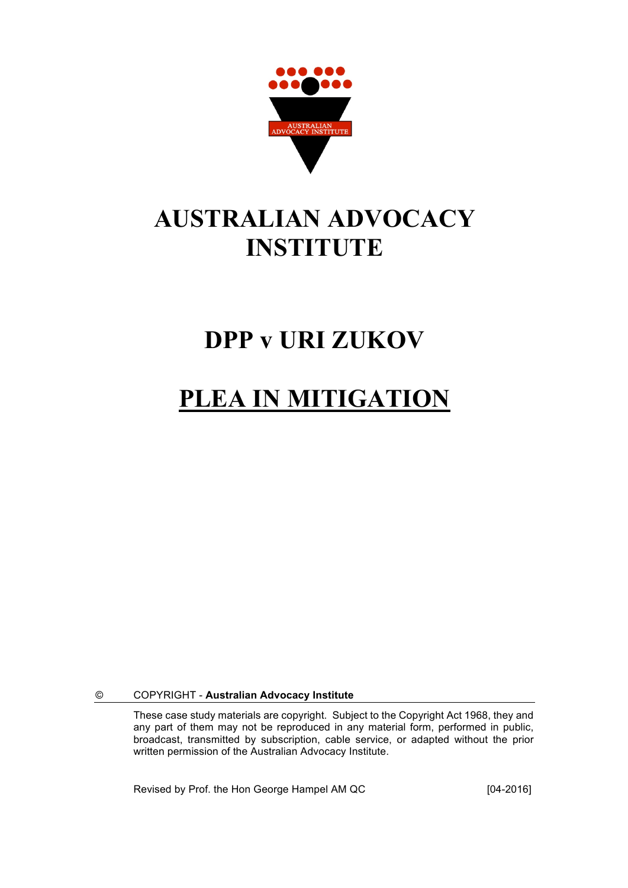

## **AUSTRALIAN ADVOCACY INSTITUTE**

### **DPP v URI ZUKOV**

## **PLEA IN MITIGATION**

© COPYRIGHT - **Australian Advocacy Institute**

These case study materials are copyright. Subject to the Copyright Act 1968, they and any part of them may not be reproduced in any material form, performed in public, broadcast, transmitted by subscription, cable service, or adapted without the prior written permission of the Australian Advocacy Institute.

Revised by Prof. the Hon George Hampel AM QC [04-2016]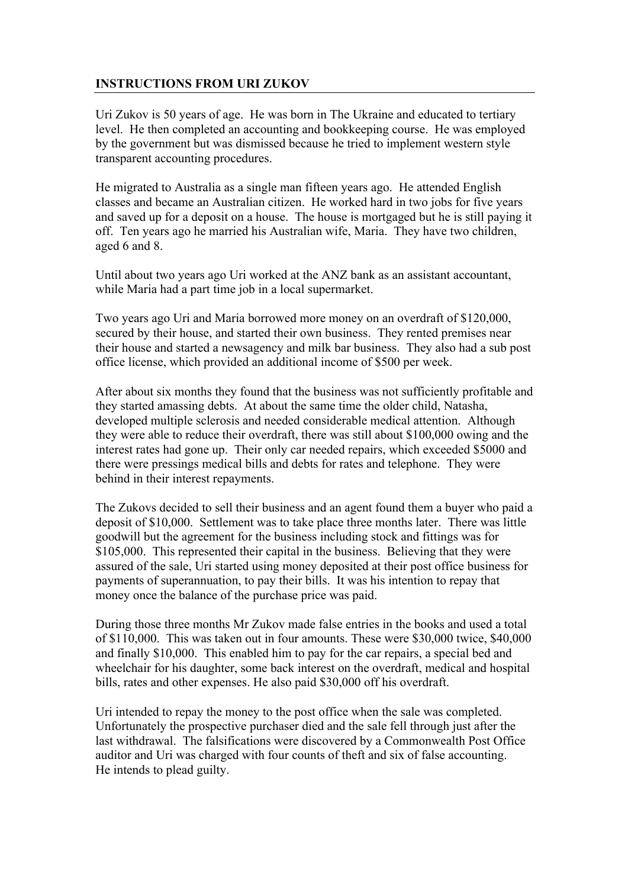### **INSTRUCTIONS FROM URI ZUKOV**

Uri Zukov is 50 years of age. He was born in The Ukraine and educated to tertiary level. He then completed an accounting and bookkeeping course. He was employed by the government but was dismissed because he tried to implement western style transparent accounting procedures.

He migrated to Australia as a single man fifteen years ago. He attended English classes and became an Australian citizen. He worked hard in two jobs for five years and saved up for a deposit on a house. The house is mortgaged but he is still paying it off. Ten years ago he married his Australian wife, Maria. They have two children, aged 6 and 8.

Until about two years ago Uri worked at the ANZ bank as an assistant accountant, while Maria had a part time job in a local supermarket.

Two years ago Uri and Maria borrowed more money on an overdraft of \$120,000, secured by their house, and started their own business. They rented premises near their house and started a newsagency and milk bar business. They also had a sub post office license, which provided an additional income of \$500 per week.

After about six months they found that the business was not sufficiently profitable and they started amassing debts. At about the same time the older child, Natasha, developed multiple sclerosis and needed considerable medical attention. Although they were able to reduce their overdraft, there was still about \$100,000 owing and the interest rates had gone up. Their only car needed repairs, which exceeded \$5000 and there were pressings medical bills and debts for rates and telephone. They were behind in their interest repayments.

The Zukovs decided to sell their business and an agent found them a buyer who paid a deposit of \$10,000. Settlement was to take place three months later. There was little goodwill but the agreement for the business including stock and fittings was for \$105,000. This represented their capital in the business. Believing that they were assured of the sale, Uri started using money deposited at their post office business for payments of superannuation, to pay their bills. It was his intention to repay that money once the balance of the purchase price was paid.

During those three months Mr Zukov made false entries in the books and used a total of \$110,000. This was taken out in four amounts. These were \$30,000 twice, \$40,000 and finally \$10,000. This enabled him to pay for the car repairs, a special bed and wheelchair for his daughter, some back interest on the overdraft, medical and hospital bills, rates and other expenses. He also paid \$30,000 off his overdraft.

Uri intended to repay the money to the post office when the sale was completed. Unfortunately the prospective purchaser died and the sale fell through just after the last withdrawal. The falsifications were discovered by a Commonwealth Post Office auditor and Uri was charged with four counts of theft and six of false accounting. He intends to plead guilty.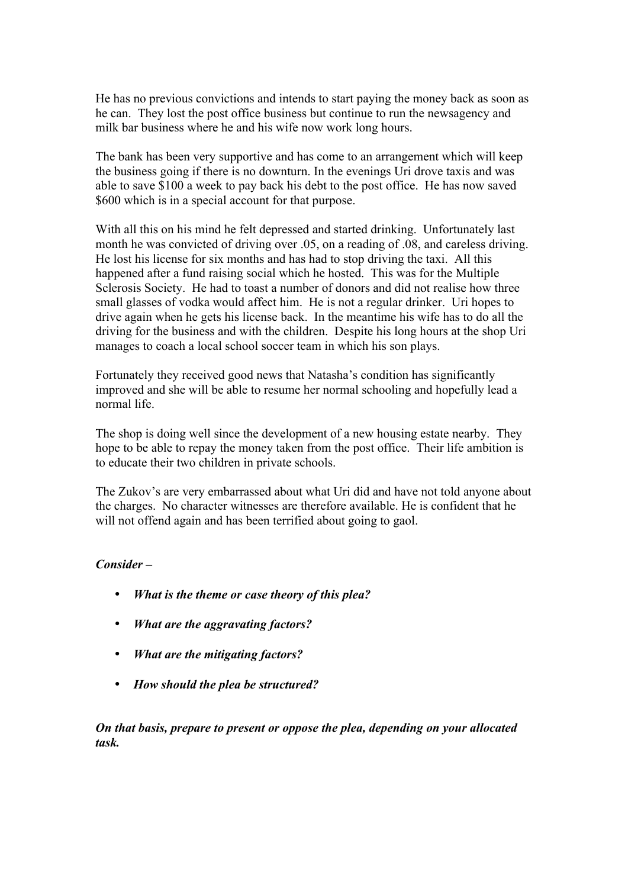He has no previous convictions and intends to start paying the money back as soon as he can. They lost the post office business but continue to run the newsagency and milk bar business where he and his wife now work long hours.

The bank has been very supportive and has come to an arrangement which will keep the business going if there is no downturn. In the evenings Uri drove taxis and was able to save \$100 a week to pay back his debt to the post office. He has now saved \$600 which is in a special account for that purpose.

With all this on his mind he felt depressed and started drinking. Unfortunately last month he was convicted of driving over .05, on a reading of .08, and careless driving. He lost his license for six months and has had to stop driving the taxi. All this happened after a fund raising social which he hosted. This was for the Multiple Sclerosis Society. He had to toast a number of donors and did not realise how three small glasses of vodka would affect him. He is not a regular drinker. Uri hopes to drive again when he gets his license back. In the meantime his wife has to do all the driving for the business and with the children. Despite his long hours at the shop Uri manages to coach a local school soccer team in which his son plays.

Fortunately they received good news that Natasha's condition has significantly improved and she will be able to resume her normal schooling and hopefully lead a normal life.

The shop is doing well since the development of a new housing estate nearby. They hope to be able to repay the money taken from the post office. Their life ambition is to educate their two children in private schools.

The Zukov's are very embarrassed about what Uri did and have not told anyone about the charges. No character witnesses are therefore available. He is confident that he will not offend again and has been terrified about going to gaol.

#### *Consider –*

- *What is the theme or case theory of this plea?*
- *What are the aggravating factors?*
- *What are the mitigating factors?*
- *How should the plea be structured?*

*On that basis, prepare to present or oppose the plea, depending on your allocated task.*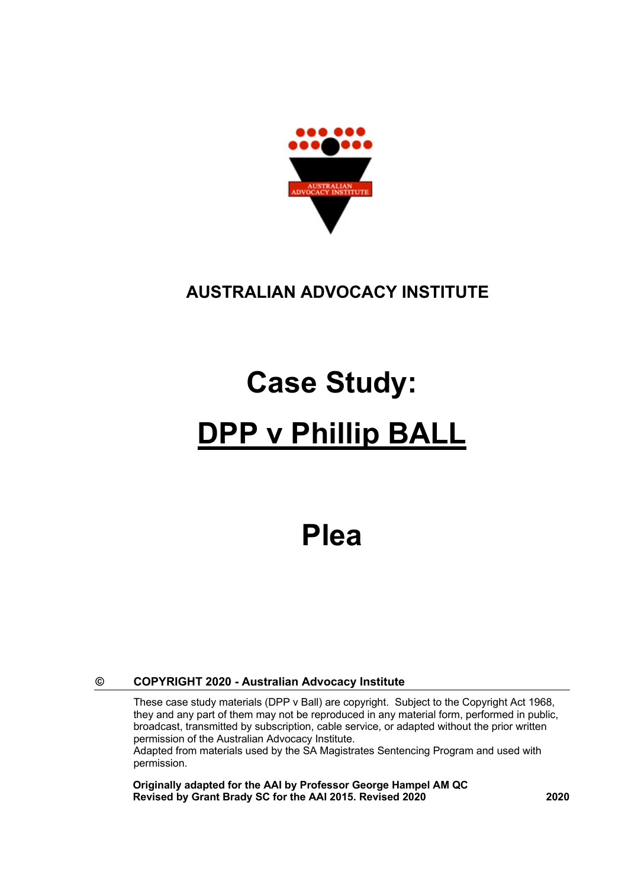

### **AUSTRALIAN ADVOCACY INSTITUTE**

# **Case Study: DPP v Phillip BALL**

## **Plea**

#### **© COPYRIGHT 2020 - Australian Advocacy Institute**

These case study materials (DPP v Ball) are copyright. Subject to the Copyright Act 1968, they and any part of them may not be reproduced in any material form, performed in public, broadcast, transmitted by subscription, cable service, or adapted without the prior written permission of the Australian Advocacy Institute. Adapted from materials used by the SA Magistrates Sentencing Program and used with permission.

**Originally adapted for the AAI by Professor George Hampel AM QC Revised by Grant Brady SC for the AAI 2015. Revised 2020 2020**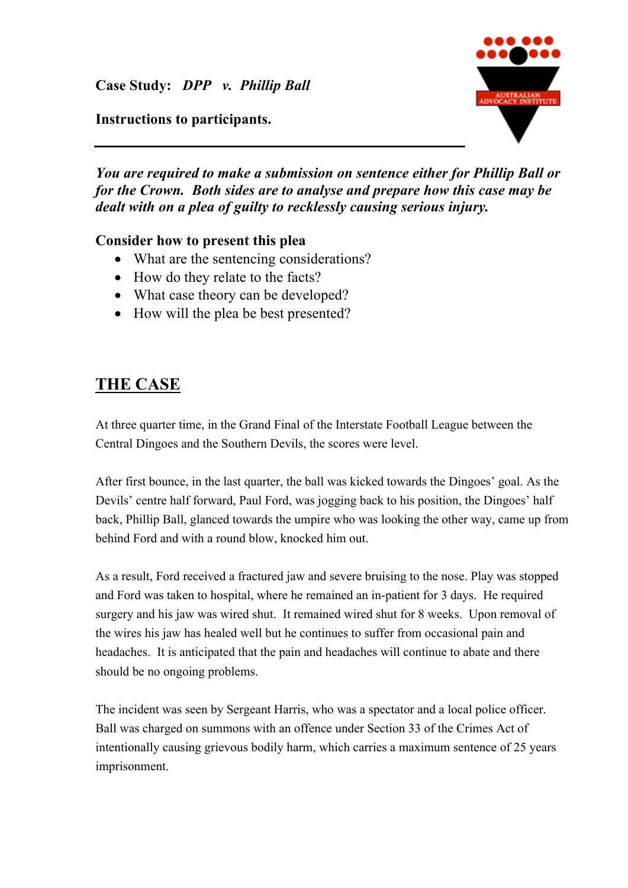### **Instructions to participants.**



*You are required to make a submission on sentence either for Phillip Ball or for the Crown. Both sides are to analyse and prepare how this case may be dealt with on a plea of guilty to recklessly causing serious injury.*

### **Consider how to present this plea**

- What are the sentencing considerations?
- How do they relate to the facts?
- What case theory can be developed?
- How will the plea be best presented?

### **THE CASE**

At three quarter time, in the Grand Final of the Interstate Football League between the Central Dingoes and the Southern Devils, the scores were level.

After first bounce, in the last quarter, the ball was kicked towards the Dingoes' goal. As the Devils' centre half forward, Paul Ford, was jogging back to his position, the Dingoes' half back, Phillip Ball, glanced towards the umpire who was looking the other way, came up from behind Ford and with a round blow, knocked him out.

As a result, Ford received a fractured jaw and severe bruising to the nose. Play was stopped and Ford was taken to hospital, where he remained an in-patient for 3 days. He required surgery and his jaw was wired shut. It remained wired shut for 8 weeks. Upon removal of the wires his jaw has healed well but he continues to suffer from occasional pain and headaches. It is anticipated that the pain and headaches will continue to abate and there should be no ongoing problems.

The incident was seen by Sergeant Harris, who was a spectator and a local police officer. Ball was charged on summons with an offence under Section 33 of the Crimes Act of intentionally causing grievous bodily harm, which carries a maximum sentence of 25 years imprisonment.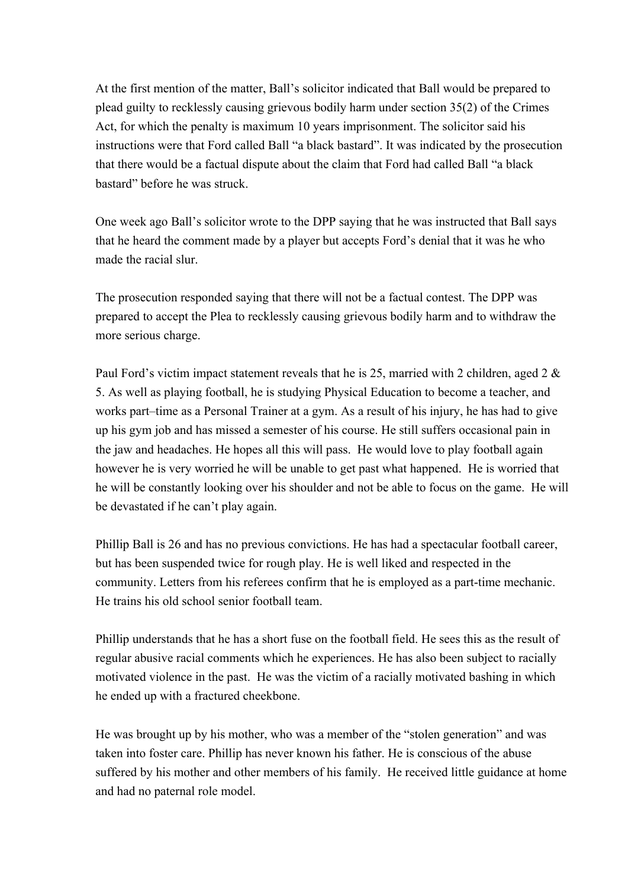At the first mention of the matter, Ball's solicitor indicated that Ball would be prepared to plead guilty to recklessly causing grievous bodily harm under section 35(2) of the Crimes Act, for which the penalty is maximum 10 years imprisonment. The solicitor said his instructions were that Ford called Ball "a black bastard". It was indicated by the prosecution that there would be a factual dispute about the claim that Ford had called Ball "a black bastard" before he was struck.

One week ago Ball's solicitor wrote to the DPP saying that he was instructed that Ball says that he heard the comment made by a player but accepts Ford's denial that it was he who made the racial slur.

The prosecution responded saying that there will not be a factual contest. The DPP was prepared to accept the Plea to recklessly causing grievous bodily harm and to withdraw the more serious charge.

Paul Ford's victim impact statement reveals that he is 25, married with 2 children, aged 2 & 5. As well as playing football, he is studying Physical Education to become a teacher, and works part–time as a Personal Trainer at a gym. As a result of his injury, he has had to give up his gym job and has missed a semester of his course. He still suffers occasional pain in the jaw and headaches. He hopes all this will pass. He would love to play football again however he is very worried he will be unable to get past what happened. He is worried that he will be constantly looking over his shoulder and not be able to focus on the game. He will be devastated if he can't play again.

Phillip Ball is 26 and has no previous convictions. He has had a spectacular football career, but has been suspended twice for rough play. He is well liked and respected in the community. Letters from his referees confirm that he is employed as a part-time mechanic. He trains his old school senior football team.

Phillip understands that he has a short fuse on the football field. He sees this as the result of regular abusive racial comments which he experiences. He has also been subject to racially motivated violence in the past. He was the victim of a racially motivated bashing in which he ended up with a fractured cheekbone.

He was brought up by his mother, who was a member of the "stolen generation" and was taken into foster care. Phillip has never known his father. He is conscious of the abuse suffered by his mother and other members of his family. He received little guidance at home and had no paternal role model.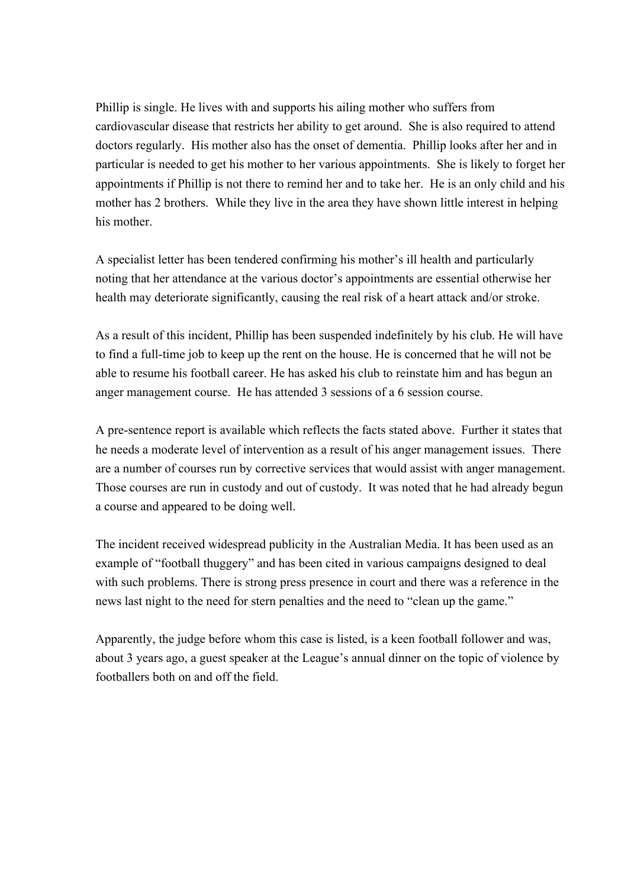Phillip is single. He lives with and supports his ailing mother who suffers from cardiovascular disease that restricts her ability to get around. She is also required to attend doctors regularly. His mother also has the onset of dementia. Phillip looks after her and in particular is needed to get his mother to her various appointments. She is likely to forget her appointments if Phillip is not there to remind her and to take her. He is an only child and his mother has 2 brothers. While they live in the area they have shown little interest in helping his mother.

A specialist letter has been tendered confirming his mother's ill health and particularly noting that her attendance at the various doctor's appointments are essential otherwise her health may deteriorate significantly, causing the real risk of a heart attack and/or stroke.

As a result of this incident, Phillip has been suspended indefinitely by his club. He will have to find a full-time job to keep up the rent on the house. He is concerned that he will not be able to resume his football career. He has asked his club to reinstate him and has begun an anger management course. He has attended 3 sessions of a 6 session course.

A pre-sentence report is available which reflects the facts stated above. Further it states that he needs a moderate level of intervention as a result of his anger management issues. There are a number of courses run by corrective services that would assist with anger management. Those courses are run in custody and out of custody. It was noted that he had already begun a course and appeared to be doing well.

The incident received widespread publicity in the Australian Media. It has been used as an example of "football thuggery" and has been cited in various campaigns designed to deal with such problems. There is strong press presence in court and there was a reference in the news last night to the need for stern penalties and the need to "clean up the game."

Apparently, the judge before whom this case is listed, is a keen football follower and was, about 3 years ago, a guest speaker at the League's annual dinner on the topic of violence by footballers both on and off the field.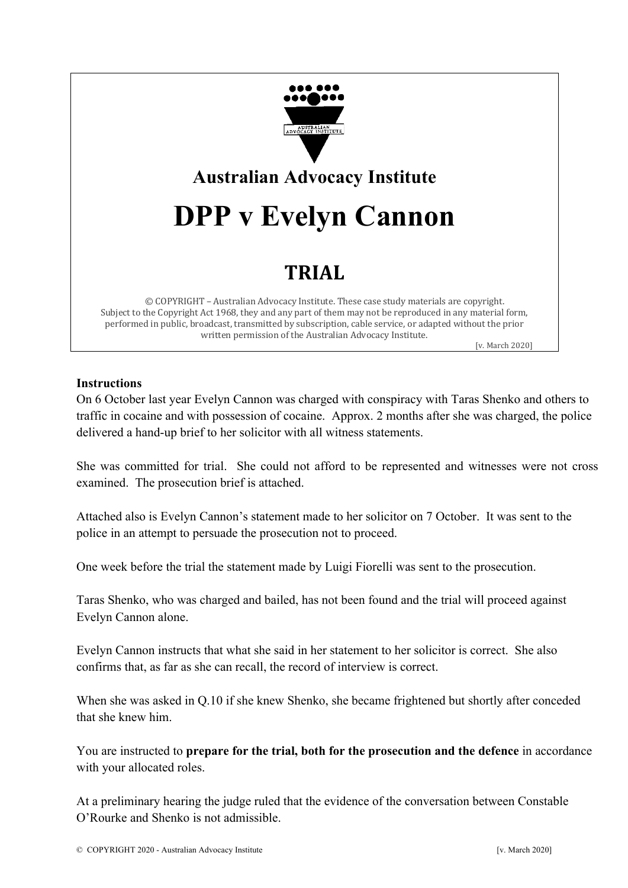

### **Australian Advocacy Institute**

## **DPP v Evelyn Cannon**

### **TRIAL**

© COPYRIGHT - Australian Advocacy Institute. These case study materials are copyright. Subject to the Copyright Act 1968, they and any part of them may not be reproduced in any material form, performed in public, broadcast, transmitted by subscription, cable service, or adapted without the prior written permission of the Australian Advocacy Institute.

[v. March 2020]

### **Instructions**

On 6 October last year Evelyn Cannon was charged with conspiracy with Taras Shenko and others to traffic in cocaine and with possession of cocaine. Approx. 2 months after she was charged, the police delivered a hand-up brief to her solicitor with all witness statements.

She was committed for trial. She could not afford to be represented and witnesses were not cross examined. The prosecution brief is attached.

Attached also is Evelyn Cannon's statement made to her solicitor on 7 October. It was sent to the police in an attempt to persuade the prosecution not to proceed.

One week before the trial the statement made by Luigi Fiorelli was sent to the prosecution.

Taras Shenko, who was charged and bailed, has not been found and the trial will proceed against Evelyn Cannon alone.

Evelyn Cannon instructs that what she said in her statement to her solicitor is correct. She also confirms that, as far as she can recall, the record of interview is correct.

When she was asked in Q.10 if she knew Shenko, she became frightened but shortly after conceded that she knew him.

You are instructed to **prepare for the trial, both for the prosecution and the defence** in accordance with your allocated roles.

At a preliminary hearing the judge ruled that the evidence of the conversation between Constable O'Rourke and Shenko is not admissible.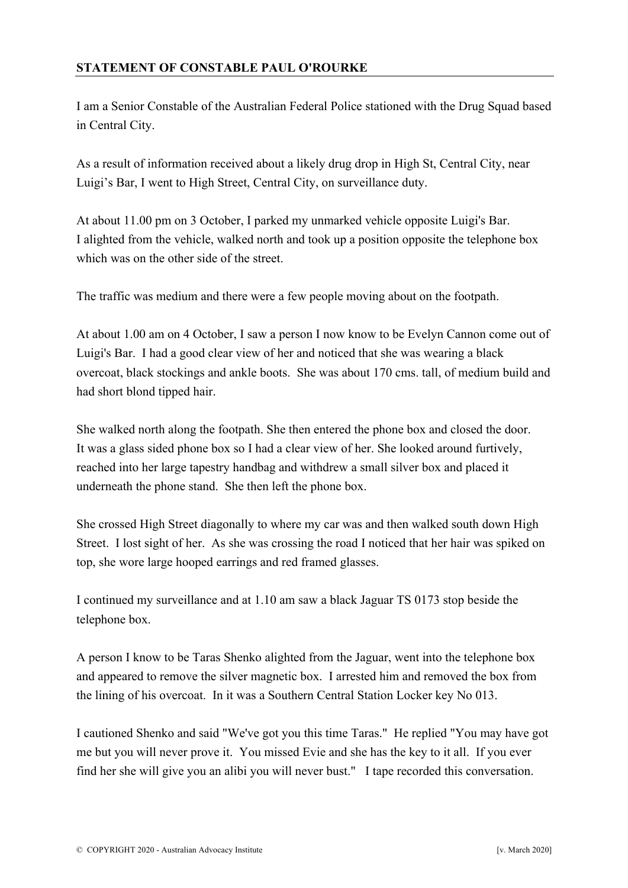### **STATEMENT OF CONSTABLE PAUL O'ROURKE**

I am a Senior Constable of the Australian Federal Police stationed with the Drug Squad based in Central City.

As a result of information received about a likely drug drop in High St, Central City, near Luigi's Bar, I went to High Street, Central City, on surveillance duty.

At about 11.00 pm on 3 October, I parked my unmarked vehicle opposite Luigi's Bar. I alighted from the vehicle, walked north and took up a position opposite the telephone box which was on the other side of the street.

The traffic was medium and there were a few people moving about on the footpath.

At about 1.00 am on 4 October, I saw a person I now know to be Evelyn Cannon come out of Luigi's Bar. I had a good clear view of her and noticed that she was wearing a black overcoat, black stockings and ankle boots. She was about 170 cms. tall, of medium build and had short blond tipped hair.

She walked north along the footpath. She then entered the phone box and closed the door. It was a glass sided phone box so I had a clear view of her. She looked around furtively, reached into her large tapestry handbag and withdrew a small silver box and placed it underneath the phone stand. She then left the phone box.

She crossed High Street diagonally to where my car was and then walked south down High Street. I lost sight of her. As she was crossing the road I noticed that her hair was spiked on top, she wore large hooped earrings and red framed glasses.

I continued my surveillance and at 1.10 am saw a black Jaguar TS 0173 stop beside the telephone box.

A person I know to be Taras Shenko alighted from the Jaguar, went into the telephone box and appeared to remove the silver magnetic box. I arrested him and removed the box from the lining of his overcoat. In it was a Southern Central Station Locker key No 013.

I cautioned Shenko and said "We've got you this time Taras." He replied "You may have got me but you will never prove it. You missed Evie and she has the key to it all. If you ever find her she will give you an alibi you will never bust." I tape recorded this conversation.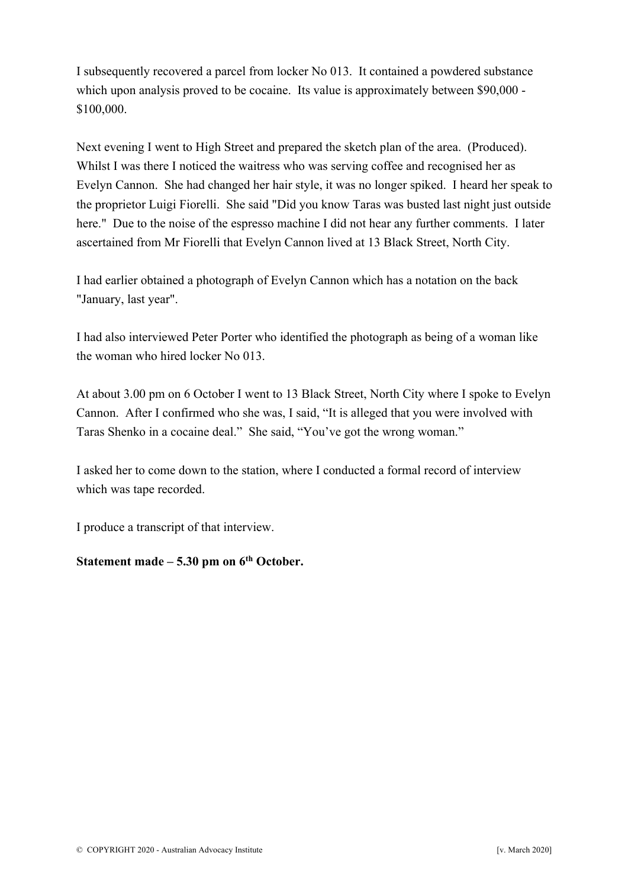I subsequently recovered a parcel from locker No 013. It contained a powdered substance which upon analysis proved to be cocaine. Its value is approximately between \$90,000 -\$100,000.

Next evening I went to High Street and prepared the sketch plan of the area. (Produced). Whilst I was there I noticed the waitress who was serving coffee and recognised her as Evelyn Cannon. She had changed her hair style, it was no longer spiked. I heard her speak to the proprietor Luigi Fiorelli. She said "Did you know Taras was busted last night just outside here." Due to the noise of the espresso machine I did not hear any further comments. I later ascertained from Mr Fiorelli that Evelyn Cannon lived at 13 Black Street, North City.

I had earlier obtained a photograph of Evelyn Cannon which has a notation on the back "January, last year".

I had also interviewed Peter Porter who identified the photograph as being of a woman like the woman who hired locker No 013.

At about 3.00 pm on 6 October I went to 13 Black Street, North City where I spoke to Evelyn Cannon. After I confirmed who she was, I said, "It is alleged that you were involved with Taras Shenko in a cocaine deal." She said, "You've got the wrong woman."

I asked her to come down to the station, where I conducted a formal record of interview which was tape recorded.

I produce a transcript of that interview.

### **Statement made – 5.30 pm on 6th October.**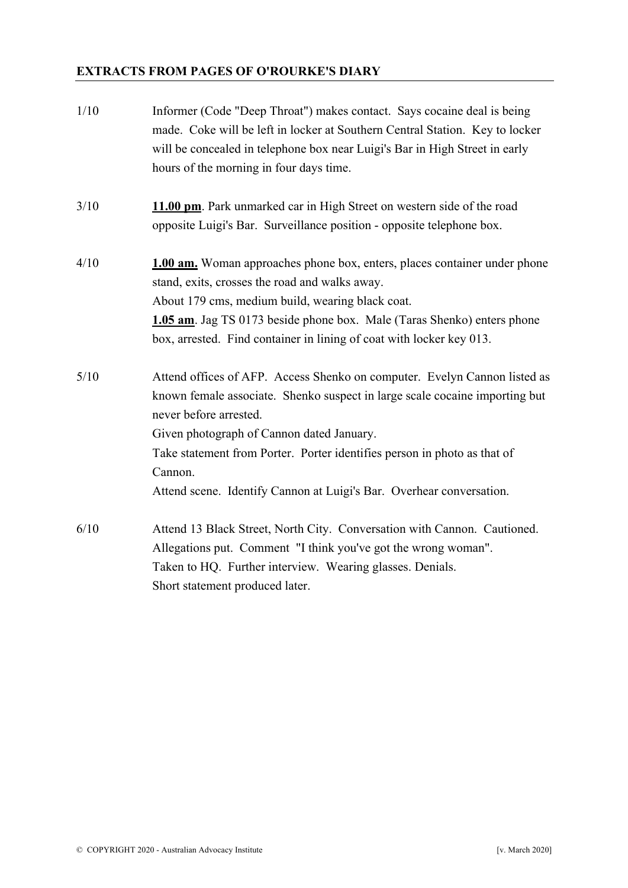### **EXTRACTS FROM PAGES OF O'ROURKE'S DIARY**

| 1/10 | Informer (Code "Deep Throat") makes contact. Says cocaine deal is being<br>made. Coke will be left in locker at Southern Central Station. Key to locker<br>will be concealed in telephone box near Luigi's Bar in High Street in early<br>hours of the morning in four days time.                                                                                                              |
|------|------------------------------------------------------------------------------------------------------------------------------------------------------------------------------------------------------------------------------------------------------------------------------------------------------------------------------------------------------------------------------------------------|
| 3/10 | 11.00 pm. Park unmarked car in High Street on western side of the road<br>opposite Luigi's Bar. Surveillance position - opposite telephone box.                                                                                                                                                                                                                                                |
| 4/10 | 1.00 am. Woman approaches phone box, enters, places container under phone<br>stand, exits, crosses the road and walks away.<br>About 179 cms, medium build, wearing black coat.<br>1.05 am. Jag TS 0173 beside phone box. Male (Taras Shenko) enters phone<br>box, arrested. Find container in lining of coat with locker key 013.                                                             |
| 5/10 | Attend offices of AFP. Access Shenko on computer. Evelyn Cannon listed as<br>known female associate. Shenko suspect in large scale cocaine importing but<br>never before arrested.<br>Given photograph of Cannon dated January.<br>Take statement from Porter. Porter identifies person in photo as that of<br>Cannon.<br>Attend scene. Identify Cannon at Luigi's Bar. Overhear conversation. |
| 6/10 | Attend 13 Black Street, North City. Conversation with Cannon. Cautioned.<br>Allegations put. Comment "I think you've got the wrong woman".<br>Taken to HQ. Further interview. Wearing glasses. Denials.<br>Short statement produced later.                                                                                                                                                     |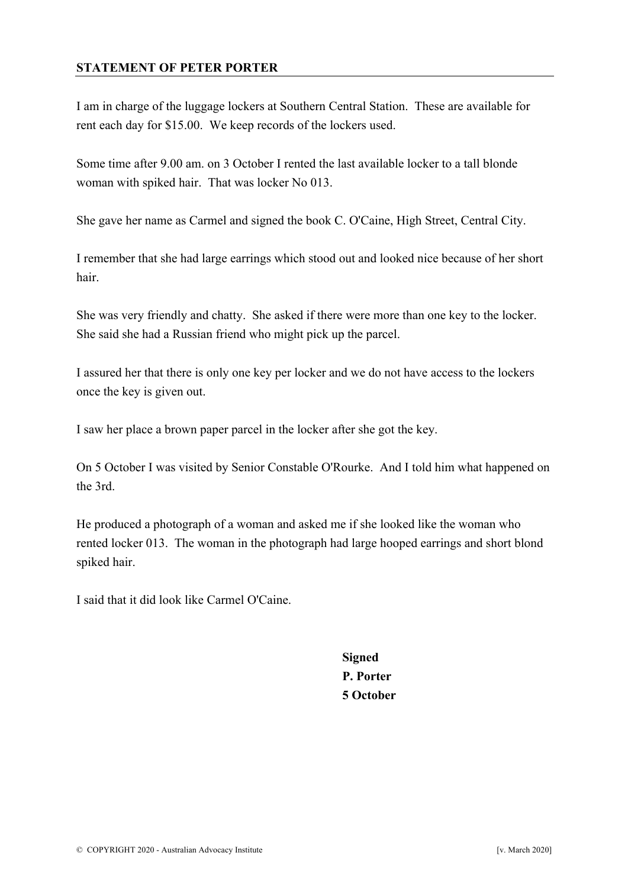#### **STATEMENT OF PETER PORTER**

I am in charge of the luggage lockers at Southern Central Station. These are available for rent each day for \$15.00. We keep records of the lockers used.

Some time after 9.00 am. on 3 October I rented the last available locker to a tall blonde woman with spiked hair. That was locker No 013.

She gave her name as Carmel and signed the book C. O'Caine, High Street, Central City.

I remember that she had large earrings which stood out and looked nice because of her short hair.

She was very friendly and chatty. She asked if there were more than one key to the locker. She said she had a Russian friend who might pick up the parcel.

I assured her that there is only one key per locker and we do not have access to the lockers once the key is given out.

I saw her place a brown paper parcel in the locker after she got the key.

On 5 October I was visited by Senior Constable O'Rourke. And I told him what happened on the 3rd.

He produced a photograph of a woman and asked me if she looked like the woman who rented locker 013. The woman in the photograph had large hooped earrings and short blond spiked hair.

I said that it did look like Carmel O'Caine.

**Signed P. Porter 5 October**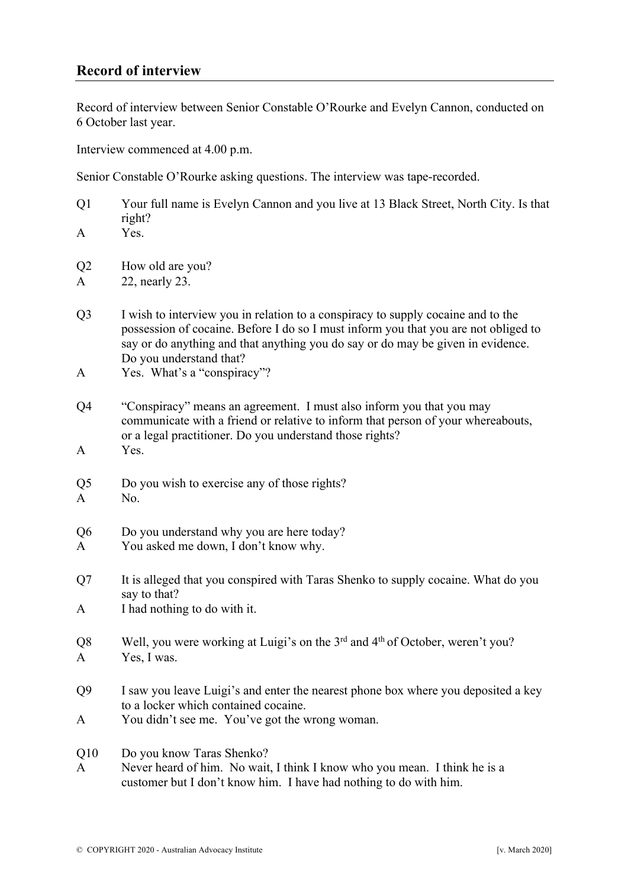### **Record of interview**

Record of interview between Senior Constable O'Rourke and Evelyn Cannon, conducted on 6 October last year.

Interview commenced at 4.00 p.m.

Senior Constable O'Rourke asking questions. The interview was tape-recorded.

- Q1 Your full name is Evelyn Cannon and you live at 13 Black Street, North City. Is that right?
- A Yes.
- Q2 How old are you?
- A 22, nearly 23.
- Q3 I wish to interview you in relation to a conspiracy to supply cocaine and to the possession of cocaine. Before I do so I must inform you that you are not obliged to say or do anything and that anything you do say or do may be given in evidence. Do you understand that?
- A Yes. What's a "conspiracy"?
- Q4 "Conspiracy" means an agreement. I must also inform you that you may communicate with a friend or relative to inform that person of your whereabouts, or a legal practitioner. Do you understand those rights?
- A Yes.
- Q5 Do you wish to exercise any of those rights?
- A No.
- Q6 Do you understand why you are here today?
- A You asked me down, I don't know why.
- Q7 It is alleged that you conspired with Taras Shenko to supply cocaine. What do you say to that?
- A I had nothing to do with it.
- Q8 Well, you were working at Luigi's on the 3<sup>rd</sup> and 4<sup>th</sup> of October, weren't you? A Yes, I was.
- Q9 I saw you leave Luigi's and enter the nearest phone box where you deposited a key to a locker which contained cocaine.
- A You didn't see me. You've got the wrong woman.
- Q10 Do you know Taras Shenko?
- A Never heard of him. No wait, I think I know who you mean. I think he is a customer but I don't know him. I have had nothing to do with him.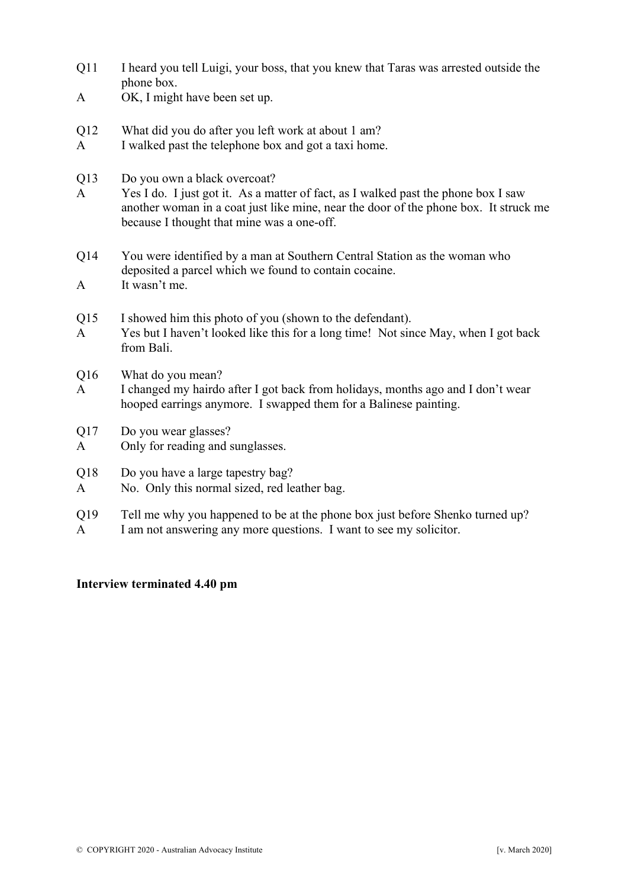- Q11 I heard you tell Luigi, your boss, that you knew that Taras was arrested outside the phone box.
- A OK, I might have been set up.
- Q12 What did you do after you left work at about 1 am?
- A I walked past the telephone box and got a taxi home.
- Q13 Do you own a black overcoat?
- A Yes I do. I just got it. As a matter of fact, as I walked past the phone box I saw another woman in a coat just like mine, near the door of the phone box. It struck me because I thought that mine was a one-off.
- Q14 You were identified by a man at Southern Central Station as the woman who deposited a parcel which we found to contain cocaine. A It wasn't me.
- Q15 I showed him this photo of you (shown to the defendant).
- A Yes but I haven't looked like this for a long time! Not since May, when I got back from Bali.
- Q16 What do you mean?
- A I changed my hairdo after I got back from holidays, months ago and I don't wear hooped earrings anymore. I swapped them for a Balinese painting.
- Q17 Do you wear glasses?
- A Only for reading and sunglasses.
- Q18 Do you have a large tapestry bag?
- A No. Only this normal sized, red leather bag.
- Q19 Tell me why you happened to be at the phone box just before Shenko turned up? A I am not answering any more questions. I want to see my solicitor.

### **Interview terminated 4.40 pm**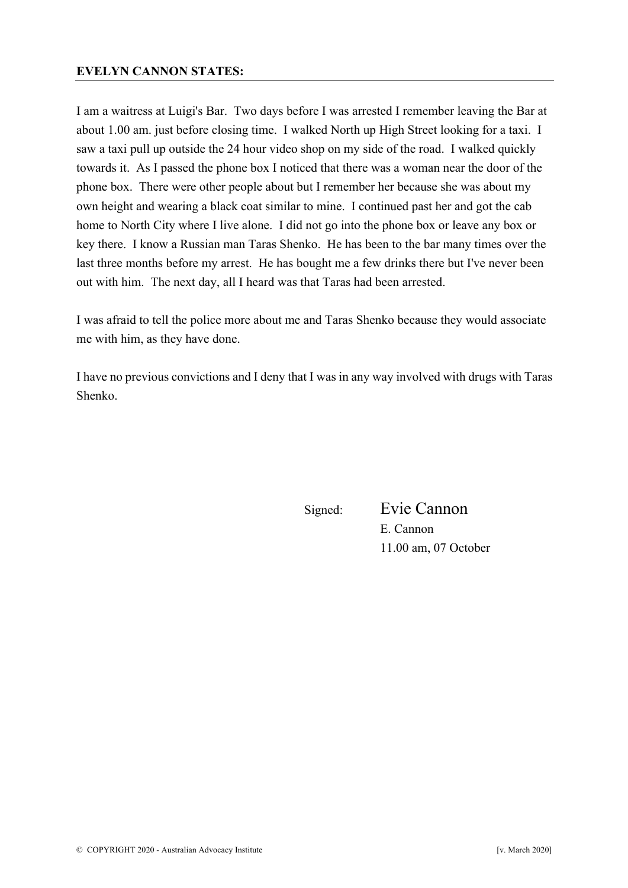#### **EVELYN CANNON STATES:**

I am a waitress at Luigi's Bar. Two days before I was arrested I remember leaving the Bar at about 1.00 am. just before closing time. I walked North up High Street looking for a taxi. I saw a taxi pull up outside the 24 hour video shop on my side of the road. I walked quickly towards it. As I passed the phone box I noticed that there was a woman near the door of the phone box. There were other people about but I remember her because she was about my own height and wearing a black coat similar to mine. I continued past her and got the cab home to North City where I live alone. I did not go into the phone box or leave any box or key there. I know a Russian man Taras Shenko. He has been to the bar many times over the last three months before my arrest. He has bought me a few drinks there but I've never been out with him. The next day, all I heard was that Taras had been arrested.

I was afraid to tell the police more about me and Taras Shenko because they would associate me with him, as they have done.

I have no previous convictions and I deny that I was in any way involved with drugs with Taras Shenko.

Signed: Evie Cannon E. Cannon 11.00 am, 07 October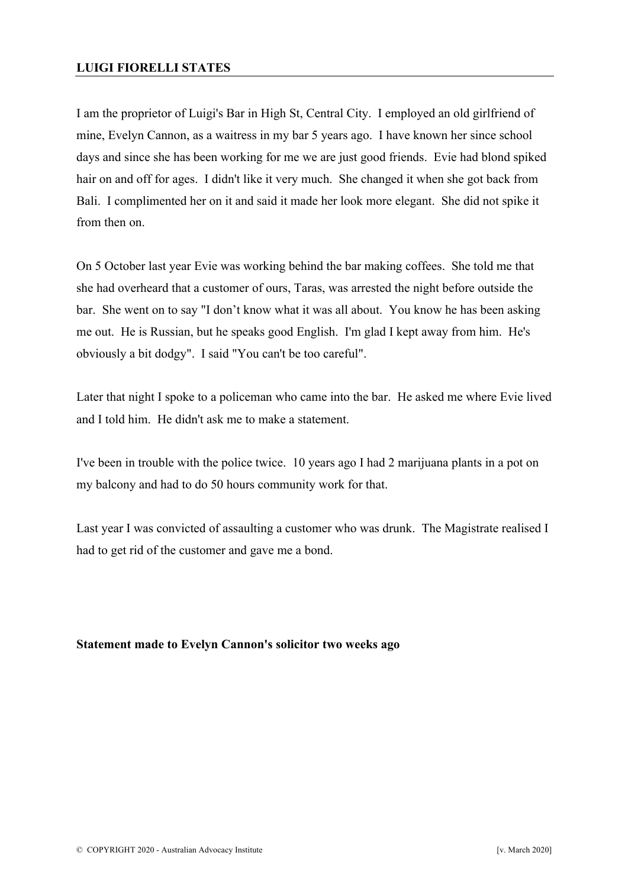### **LUIGI FIORELLI STATES**

I am the proprietor of Luigi's Bar in High St, Central City. I employed an old girlfriend of mine, Evelyn Cannon, as a waitress in my bar 5 years ago. I have known her since school days and since she has been working for me we are just good friends. Evie had blond spiked hair on and off for ages. I didn't like it very much. She changed it when she got back from Bali. I complimented her on it and said it made her look more elegant. She did not spike it from then on.

On 5 October last year Evie was working behind the bar making coffees. She told me that she had overheard that a customer of ours, Taras, was arrested the night before outside the bar. She went on to say "I don't know what it was all about. You know he has been asking me out. He is Russian, but he speaks good English. I'm glad I kept away from him. He's obviously a bit dodgy". I said "You can't be too careful".

Later that night I spoke to a policeman who came into the bar. He asked me where Evie lived and I told him. He didn't ask me to make a statement.

I've been in trouble with the police twice. 10 years ago I had 2 marijuana plants in a pot on my balcony and had to do 50 hours community work for that.

Last year I was convicted of assaulting a customer who was drunk. The Magistrate realised I had to get rid of the customer and gave me a bond.

#### **Statement made to Evelyn Cannon's solicitor two weeks ago**